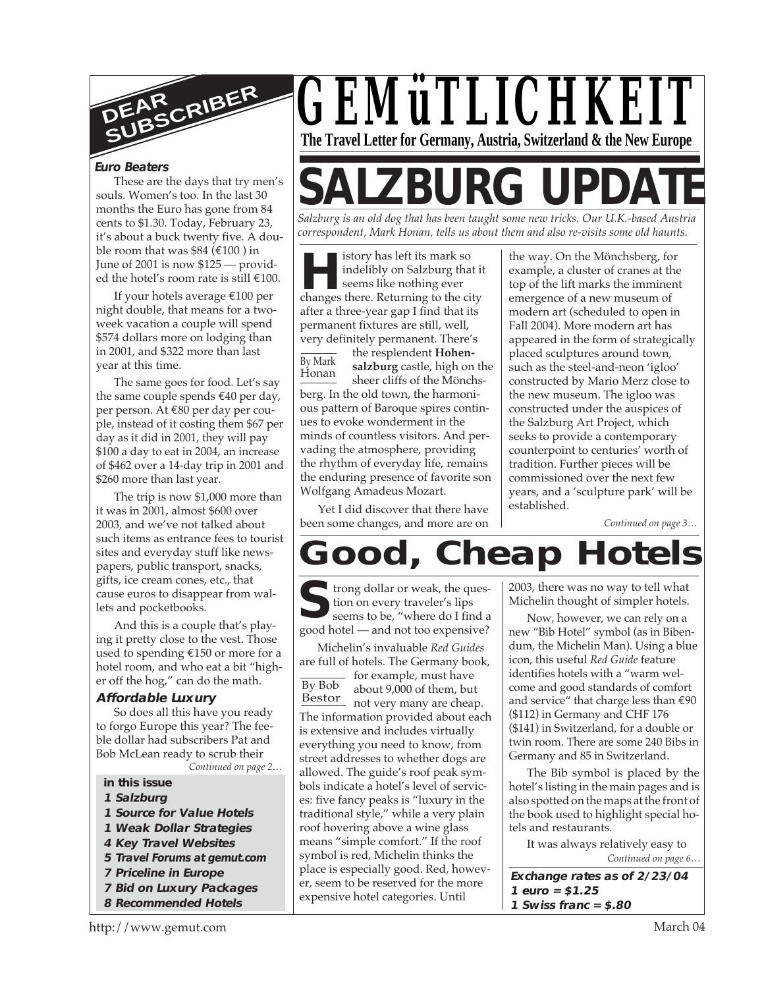

#### **Euro Beaters**

souls. Women's too. In the last 30 months the Euro has gone from 84 cents to \$1.30. Today, February 23, it's about a buck twenty five. A double room that was  $$84 (\text{\textsterling}100)$  in June of 2001 is now \$125 — provided the hotel's room rate is still €100.

If your hotels average €100 per night double, that means for a twoweek vacation a couple will spend \$574 dollars more on lodging than in 2001, and \$322 more than last year at this time.

The same goes for food. Let's say the same couple spends €40 per day, per person. At €80 per day per couple, instead of it costing them \$67 per day as it did in 2001, they will pay \$100 a day to eat in 2004, an increase of \$462 over a 14-day trip in 2001 and \$260 more than last year.

The trip is now \$1,000 more than it was in 2001, almost \$600 over 2003, and we've not talked about such items as entrance fees to tourist sites and everyday stuff like newspapers, public transport, snacks, gifts, ice cream cones, etc., that cause euros to disappear from wallets and pocketbooks.

And this is a couple that's playing it pretty close to the vest. Those used to spending €150 or more for a hotel room, and who eat a bit "higher off the hog," can do the math.

#### **Affordable Luxury**

So does all this have you ready to forgo Europe this year? The feeble dollar had subscribers Pat and Bob McLean ready to scrub their

*Continued on page 2…*

- **in this issue**
- **1 Salzburg**
- **1 Source for Value Hotels**
- **1 Weak Dollar Strategies**
- **4 Key Travel Websites**
- **5 Travel Forums at gemut.com**
- **7 Priceline in Europe**
- **7 Bid on Luxury Packages**
- **8 Recommended Hotels**



# These are the days that try men's  $|\mathsf{SALZBURG}|\mathsf{UPDA}$

*Salzburg is an old dog that has been taught some new tricks. Our U.K.-based Austria correspondent, Mark Honan, tells us about them and also re-visits some old haunts.*

**Hereafter** its mark so<br>
indelibly on Salzburg that i<br>
seems like nothing ever<br>
changes there. Returning to the city istory has left its mark so indelibly on Salzburg that it seems like nothing ever after a three-year gap I find that its permanent fixtures are still, well, very definitely permanent. There's

By Mark Honan the resplendent **Hohensalzburg** castle, high on the sheer cliffs of the Mönchsberg. In the old town, the harmonious pattern of Baroque spires continues to evoke wonderment in the minds of countless visitors. And pervading the atmosphere, providing the rhythm of everyday life, remains the enduring presence of favorite son Wolfgang Amadeus Mozart.

Yet I did discover that there have been some changes, and more are on

the way. On the Mönchsberg, for example, a cluster of cranes at the top of the lift marks the imminent emergence of a new museum of modern art (scheduled to open in Fall 2004). More modern art has appeared in the form of strategically placed sculptures around town, such as the steel-and-neon 'igloo' constructed by Mario Merz close to the new museum. The igloo was constructed under the auspices of the Salzburg Art Project, which seeks to provide a contemporary counterpoint to centuries' worth of tradition. Further pieces will be commissioned over the next few years, and a 'sculpture park' will be established.

*Continued on page 3…*

# **Good, Cheap Hotels**

**S**frong dollar or weak, the question on every traveler's lips
seems to be, "where do I find a good hotel — and not too expensive? trong dollar or weak, the question on every traveler's lips seems to be, "where do I find a

By Bob Bestor about 5,000 or them, but Michelin's invaluable *Red Guides* are full of hotels. The Germany book, - for example, must have about 9,000 of them, but The information provided about each is extensive and includes virtually everything you need to know, from street addresses to whether dogs are allowed. The guide's roof peak symbols indicate a hotel's level of services: five fancy peaks is "luxury in the traditional style," while a very plain roof hovering above a wine glass means "simple comfort." If the roof symbol is red, Michelin thinks the place is especially good. Red, however, seem to be reserved for the more expensive hotel categories. Until

2003, there was no way to tell what Michelin thought of simpler hotels.

Now, however, we can rely on a new "Bib Hotel" symbol (as in Bibendum, the Michelin Man). Using a blue icon, this useful *Red Guide* feature identifies hotels with a "warm welcome and good standards of comfort and service" that charge less than €90 (\$112) in Germany and CHF 176 (\$141) in Switzerland, for a double or twin room. There are some 240 Bibs in Germany and 85 in Switzerland.

The Bib symbol is placed by the hotel's listing in the main pages and is also spotted on the maps at the front of the book used to highlight special hotels and restaurants.

*Continued on page 6…* It was always relatively easy to

**Exchange rates as of 2/23/04 1 euro = \$1.25 1 Swiss franc = \$.80**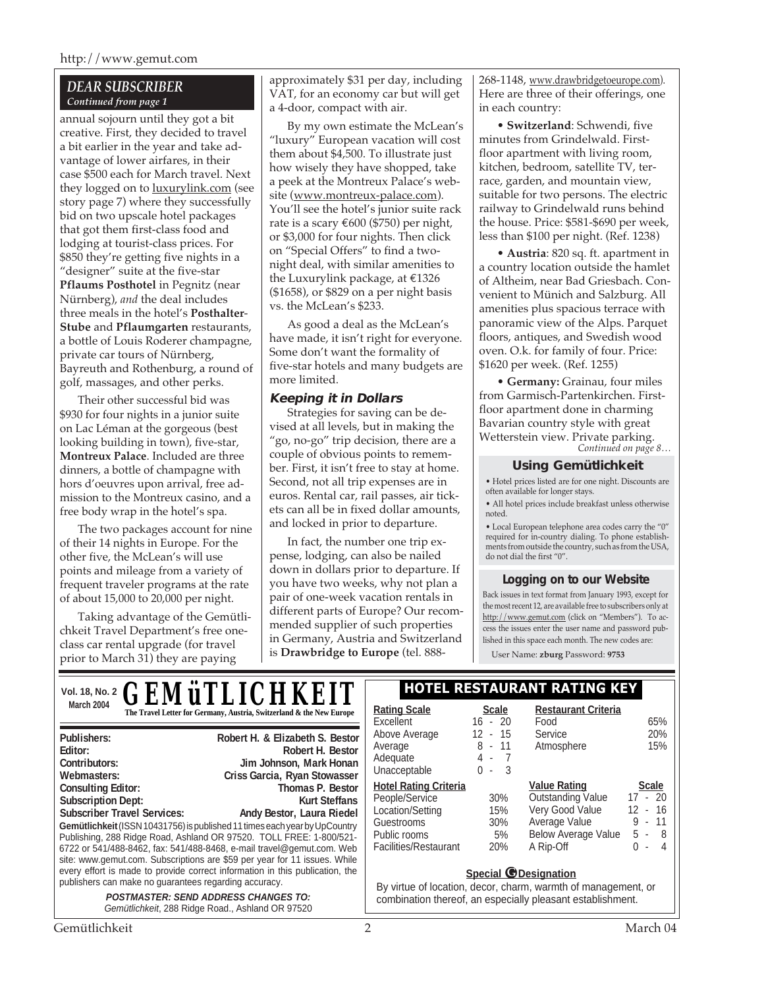#### *DEAR SUBSCRIBER Continued from page 1*

annual sojourn until they got a bit creative. First, they decided to travel a bit earlier in the year and take advantage of lower airfares, in their case \$500 each for March travel. Next they logged on to **luxurylink.com** (see story page 7) where they successfully bid on two upscale hotel packages that got them first-class food and lodging at tourist-class prices. For \$850 they're getting five nights in a "designer" suite at the five-star **Pflaums Posthotel** in Pegnitz (near Nürnberg), *and* the deal includes three meals in the hotel's **Posthalter**-**Stube** and **Pflaumgarten** restaurants, a bottle of Louis Roderer champagne, private car tours of Nürnberg, Bayreuth and Rothenburg, a round of golf, massages, and other perks.

Their other successful bid was \$930 for four nights in a junior suite on Lac Léman at the gorgeous (best looking building in town), five-star, **Montreux Palace**. Included are three dinners, a bottle of champagne with hors d'oeuvres upon arrival, free admission to the Montreux casino, and a free body wrap in the hotel's spa.

The two packages account for nine of their 14 nights in Europe. For the other five, the McLean's will use points and mileage from a variety of frequent traveler programs at the rate of about 15,000 to 20,000 per night.

Taking advantage of the Gemütlichkeit Travel Department's free oneclass car rental upgrade (for travel prior to March 31) they are paying

**Gemütlichkeit** (ISSN 10431756) is published 11 times each year by UpCountry Publishing, 288 Ridge Road, Ashland OR 97520. TOLL FREE: 1-800/521- 6722 or 541/488-8462, fax: 541/488-8468, e-mail travel@gemut.com. Web site: www.gemut.com. Subscriptions are \$59 per year for 11 issues. While every effort is made to provide correct information in this publication, the

Subscriber Travel Services: Andy Bestor, Laura Riedel

**POSTMASTER: SEND ADDRESS CHANGES TO:** Gemütlichkeit, 288 Ridge Road., Ashland OR 97520

publishers can make no guarantees regarding accuracy.

approximately \$31 per day, including VAT, for an economy car but will get a 4-door, compact with air.

By my own estimate the McLean's "luxury" European vacation will cost them about \$4,500. To illustrate just how wisely they have shopped, take a peek at the Montreux Palace's website (www.montreux-palace.com). You'll see the hotel's junior suite rack rate is a scary  $\text{\textsterling}600$  (\$750) per night, or \$3,000 for four nights. Then click on "Special Offers" to find a twonight deal, with similar amenities to the Luxurylink package, at  $£1326$ (\$1658), or \$829 on a per night basis vs. the McLean's \$233.

As good a deal as the McLean's have made, it isn't right for everyone. Some don't want the formality of five-star hotels and many budgets are more limited.

#### **Keeping it in Dollars**

Strategies for saving can be devised at all levels, but in making the "go, no-go" trip decision, there are a couple of obvious points to remember. First, it isn't free to stay at home. Second, not all trip expenses are in euros. Rental car, rail passes, air tickets can all be in fixed dollar amounts, and locked in prior to departure.

In fact, the number one trip expense, lodging, can also be nailed down in dollars prior to departure. If you have two weeks, why not plan a pair of one-week vacation rentals in different parts of Europe? Our recommended supplier of such properties in Germany, Austria and Switzerland is **Drawbridge to Europe** (tel. 888268-1148, www.drawbridgetoeurope.com). Here are three of their offerings, one in each country:

• **Switzerland**: Schwendi, five minutes from Grindelwald. Firstfloor apartment with living room, kitchen, bedroom, satellite TV, terrace, garden, and mountain view, suitable for two persons. The electric railway to Grindelwald runs behind the house. Price: \$581-\$690 per week, less than \$100 per night. (Ref. 1238)

• **Austria**: 820 sq. ft. apartment in a country location outside the hamlet of Altheim, near Bad Griesbach. Convenient to Münich and Salzburg. All amenities plus spacious terrace with panoramic view of the Alps. Parquet floors, antiques, and Swedish wood oven. O.k. for family of four. Price: \$1620 per week. (Ref. 1255)

*Continued on page 8…* • **Germany:** Grainau, four miles from Garmisch-Partenkirchen. Firstfloor apartment done in charming Bavarian country style with great Wetterstein view. Private parking.

#### **Using Gemütlichkeit**

• Hotel prices listed are for one night. Discounts are often available for longer stays.

• All hotel prices include breakfast unless otherwise noted.

• Local European telephone area codes carry the "0" required for in-country dialing. To phone establishments from outside the country, such as from the USA, do not dial the first "0".

#### **Logging on to our Website**

Back issues in text format from January 1993, except for the most recent 12, are available free to subscribers only at http://www.gemut.com (click on "Members"). To access the issues enter the user name and password published in this space each month. The new codes are:

User Name: **zburg** Password: **9753**

**Publishers:** Robert H. & Elizabeth S. Bestor **Publishers: Robert H. & Elizabeth S. Bestor Editor:** Robert H. Bestor **Editor: Robert H. Bestor** Contributors: **Doug Lines Contributors:** Jim Johnson, Mark Honan **Web Master:** Paul T. Merschdorf **Contributors: Jim Johnson, Mark HonanWebmasters: Criss Garcia, Ryan Stowasser Consulting Editor:** Thomas P. Bestor **Consulting Editor: Thomas P. Bestor Subscription Dept:** Kurt Steffans Vol. 18, No. 2 **C EM HIT IC LIKEIT SEPARATE RESTAURANT RATING KEY** March 2004<br> **The Travel Letter for Germany, Austria, Switzerland & the New Europe** | **Rating Scale** Scale Excellent 16 - 20<br>Above Average 12 - 15 Above Average Average 8 - 11<br>Average 8 - 11<br>Adequate 4 - 7 Adequate 4 - 7<br>Unacceptable 0 - 3 Unacceptable **Hotel Rating Criteria Restaurant Criteria** Food 65%<br>Service 20% Service 20%<br>Atmosphere 15% Atmosphere **Value Rating Scale** *GEMüTLICHKEI* 

| People/Service        | 30%        | <b>Outstanding Value</b>   |           | $17 - 20$ |
|-----------------------|------------|----------------------------|-----------|-----------|
| Location/Setting      | 15%        | Very Good Value            |           | $12 - 16$ |
| Guestrooms            | $30\%$     | Average Value              |           | $9 - 11$  |
| Public rooms          | 5%         | <b>Below Average Value</b> | $5 -$     |           |
| Facilities/Restaurant | <b>20%</b> | A Rip-Off                  | $($ ) $-$ |           |

#### **Special © Designation**

By virtue of location, decor, charm, warmth of management, or combination thereof, an especially pleasant establishment.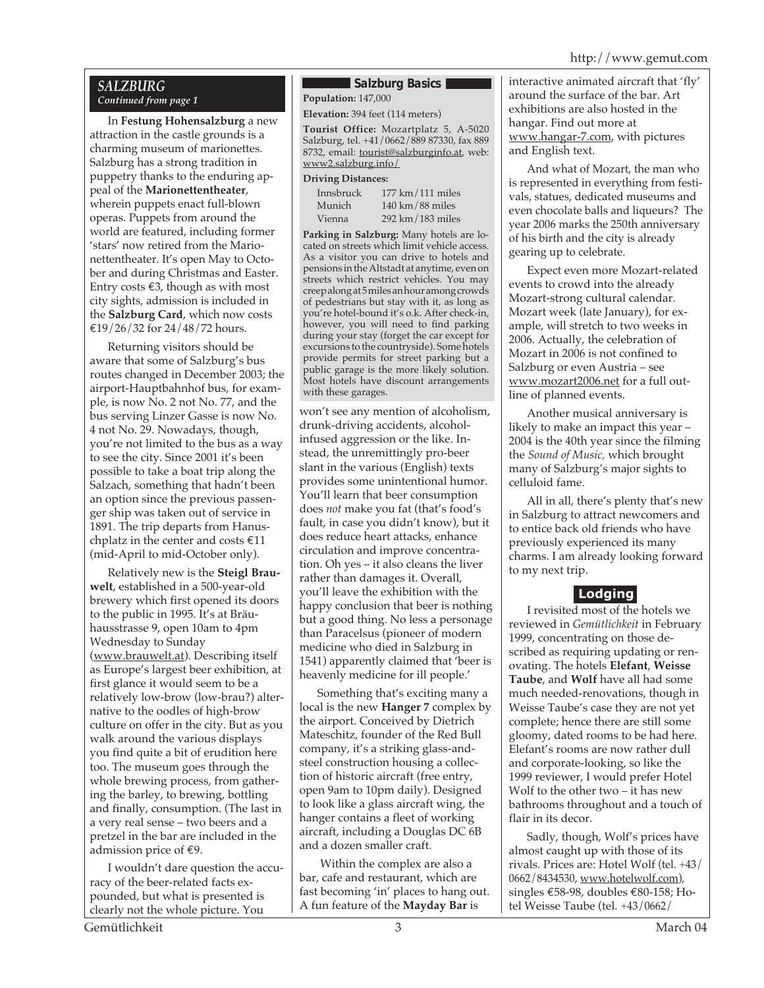#### *SALZBURG Continued from page 1*

In **Festung Hohensalzburg** a new attraction in the castle grounds is a charming museum of marionettes. Salzburg has a strong tradition in puppetry thanks to the enduring appeal of the **Marionettentheater**, wherein puppets enact full-blown operas. Puppets from around the world are featured, including former 'stars' now retired from the Marionettentheater. It's open May to October and during Christmas and Easter. Entry costs  $€3$ , though as with most city sights, admission is included in the **Salzburg Card**, which now costs €19/26/32 for 24/48/72 hours.

Returning visitors should be aware that some of Salzburg's bus routes changed in December 2003; the airport-Hauptbahnhof bus, for example, is now No. 2 not No. 77, and the bus serving Linzer Gasse is now No. 4 not No. 29. Nowadays, though, you're not limited to the bus as a way to see the city. Since 2001 it's been possible to take a boat trip along the Salzach, something that hadn't been an option since the previous passenger ship was taken out of service in 1891. The trip departs from Hanuschplatz in the center and costs €11 (mid-April to mid-October only).

Relatively new is the **Steigl Brauwelt**, established in a 500-year-old brewery which first opened its doors to the public in 1995. It's at Bräuhausstrasse 9, open 10am to 4pm Wednesday to Sunday (www.brauwelt.at). Describing itself as Europe's largest beer exhibition, at first glance it would seem to be a relatively low-brow (low-brau?) alternative to the oodles of high-brow culture on offer in the city. But as you walk around the various displays you find quite a bit of erudition here too. The museum goes through the whole brewing process, from gathering the barley, to brewing, bottling and finally, consumption. (The last in a very real sense – two beers and a pretzel in the bar are included in the admission price of €9.

I wouldn't dare question the accuracy of the beer-related facts expounded, but what is presented is clearly not the whole picture. You

#### **Salzburg Basics**

**Population:** 147,000

**Elevation:** 394 feet (114 meters)

**Tourist Office:** Mozartplatz 5, A-5020 Salzburg, tel. +41/0662/889 87330, fax 889 8732, email: **tourist@salzburginfo.at**, web: www2.salzburg.info/

#### **Driving Distances:**

| Innsbruck | $177 \text{ km}/111 \text{ miles}$  |
|-----------|-------------------------------------|
| Munich    | $140 \text{ km} / 88 \text{ miles}$ |
| Vienna    | 292 km/183 miles                    |

**Parking in Salzburg:** Many hotels are located on streets which limit vehicle access. As a visitor you can drive to hotels and pensions in the Altstadt at anytime, even on streets which restrict vehicles. You may creep along at 5 miles an hour among crowds of pedestrians but stay with it, as long as you're hotel-bound it's o.k. After check-in, however, you will need to find parking during your stay (forget the car except for excursions to the countryside). Some hotels provide permits for street parking but a public garage is the more likely solution. Most hotels have discount arrangements with these garages.

won't see any mention of alcoholism, drunk-driving accidents, alcoholinfused aggression or the like. Instead, the unremittingly pro-beer slant in the various (English) texts provides some unintentional humor. You'll learn that beer consumption does *not* make you fat (that's food's fault, in case you didn't know), but it does reduce heart attacks, enhance circulation and improve concentration. Oh yes – it also cleans the liver rather than damages it. Overall, you'll leave the exhibition with the happy conclusion that beer is nothing but a good thing. No less a personage than Paracelsus (pioneer of modern medicine who died in Salzburg in 1541) apparently claimed that 'beer is heavenly medicine for ill people.'

Something that's exciting many a local is the new **Hanger 7** complex by the airport. Conceived by Dietrich Mateschitz, founder of the Red Bull company, it's a striking glass-andsteel construction housing a collection of historic aircraft (free entry, open 9am to 10pm daily). Designed to look like a glass aircraft wing, the hanger contains a fleet of working aircraft, including a Douglas DC 6B and a dozen smaller craft.

 Within the complex are also a bar, cafe and restaurant, which are fast becoming 'in' places to hang out. A fun feature of the **Mayday Bar** is

interactive animated aircraft that 'fly' around the surface of the bar. Art exhibitions are also hosted in the hangar. Find out more at www.hangar-7.com, with pictures and English text.

And what of Mozart, the man who is represented in everything from festivals, statues, dedicated museums and even chocolate balls and liqueurs? The year 2006 marks the 250th anniversary of his birth and the city is already gearing up to celebrate.

Expect even more Mozart-related events to crowd into the already Mozart-strong cultural calendar. Mozart week (late January), for example, will stretch to two weeks in 2006. Actually, the celebration of Mozart in 2006 is not confined to Salzburg or even Austria – see www.mozart2006.net for a full outline of planned events.

Another musical anniversary is likely to make an impact this year – 2004 is the 40th year since the filming the *Sound of Music,* which brought many of Salzburg's major sights to celluloid fame.

All in all, there's plenty that's new in Salzburg to attract newcomers and to entice back old friends who have previously experienced its many charms. I am already looking forward to my next trip.

### **Lodging**

I revisited most of the hotels we reviewed in *Gemütlichkeit* in February 1999, concentrating on those described as requiring updating or renovating. The hotels **Elefant**, **Weisse Taube**, and **Wolf** have all had some much needed-renovations, though in Weisse Taube's case they are not yet complete; hence there are still some gloomy, dated rooms to be had here. Elefant's rooms are now rather dull and corporate-looking, so like the 1999 reviewer, I would prefer Hotel Wolf to the other two – it has new bathrooms throughout and a touch of flair in its decor.

Sadly, though, Wolf's prices have almost caught up with those of its rivals. Prices are: Hotel Wolf (tel. +43/ 0662/8434530, www.hotelwolf.com), singles €58-98, doubles €80-158; Hotel Weisse Taube (tel. +43/0662/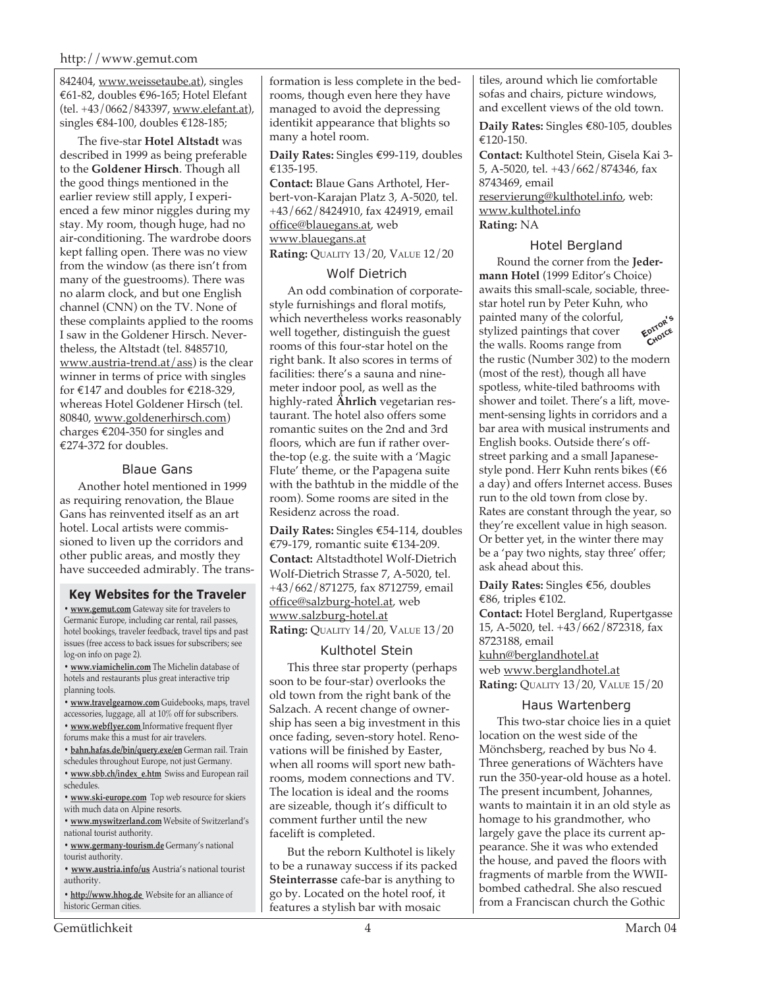#### http://www.gemut.com

842404, www.weissetaube.at), singles €61-82, doubles €96-165; Hotel Elefant (tel. +43/0662/843397, www.elefant.at), singles €84-100, doubles €128-185;

The five-star **Hotel Altstadt** was described in 1999 as being preferable to the **Goldener Hirsch**. Though all the good things mentioned in the earlier review still apply, I experienced a few minor niggles during my stay. My room, though huge, had no air-conditioning. The wardrobe doors kept falling open. There was no view from the window (as there isn't from many of the guestrooms). There was no alarm clock, and but one English channel (CNN) on the TV. None of these complaints applied to the rooms I saw in the Goldener Hirsch. Nevertheless, the Altstadt (tel. 8485710, www.austria-trend.at/ass) is the clear winner in terms of price with singles for  $\text{\textsterling}147$  and doubles for  $\text{\textsterling}218-329$ , whereas Hotel Goldener Hirsch (tel. 80840, www.goldenerhirsch.com) charges €204-350 for singles and €274-372 for doubles.

#### Blaue Gans

Another hotel mentioned in 1999 as requiring renovation, the Blaue Gans has reinvented itself as an art hotel. Local artists were commissioned to liven up the corridors and other public areas, and mostly they have succeeded admirably. The trans-

#### **Key Websites for the Traveler**

**• www.gemut.com** Gateway site for travelers to Germanic Europe, including car rental, rail passes, hotel bookings, traveler feedback, travel tips and past issues (free access to back issues for subscribers; see log-on info on page 2).

**• www.viamichelin.com** The Michelin database of hotels and restaurants plus great interactive trip planning tools.

**• www.travelgearnow.com** Guidebooks, maps, travel accessories, luggage, all at 10% off for subscribers.

- **www.webflyer.com** Informative frequent flyer forums make this a must for air travelers.
- **bahn.hafas.de/bin/query.exe/en** German rail. Train
- schedules throughout Europe, not just Germany.
- **www.sbb.ch/index\_e.htm** Swiss and European rail schedules.
- **www.ski-europe.com** Top web resource for skiers with much data on Alpine resorts.
- **www.myswitzerland.com** Website of Switzerland's national tourist authority.

**• www.germany-tourism.de** Germany's national tourist authority.

**• www.austria.info/us** Austria's national tourist authority.

**• http://www.hhog.de** Website for an alliance of historic German cities.

formation is less complete in the bedrooms, though even here they have managed to avoid the depressing identikit appearance that blights so many a hotel room.

**Daily Rates:** Singles €99-119, doubles €135-195.

**Contact:** Blaue Gans Arthotel, Herbert-von-Karajan Platz 3, A-5020, tel. +43/662/8424910, fax 424919, email office@blauegans.at, web www.blauegans.at

**Rating:** QUALITY 13/20, VALUE 12/20

#### Wolf Dietrich

An odd combination of corporatestyle furnishings and floral motifs, which nevertheless works reasonably well together, distinguish the guest rooms of this four-star hotel on the right bank. It also scores in terms of facilities: there's a sauna and ninemeter indoor pool, as well as the highly-rated **Ährlich** vegetarian restaurant. The hotel also offers some romantic suites on the 2nd and 3rd floors, which are fun if rather overthe-top (e.g. the suite with a 'Magic Flute' theme, or the Papagena suite with the bathtub in the middle of the room). Some rooms are sited in the Residenz across the road.

**Daily Rates:** Singles €54-114, doubles €79-179, romantic suite €134-209. **Contact:** Altstadthotel Wolf-Dietrich Wolf-Dietrich Strasse 7, A-5020, tel. +43/662/871275, fax 8712759, email office@salzburg-hotel.at, web www.salzburg-hotel.at **Rating:** QUALITY 14/20, VALUE 13/20

#### Kulthotel Stein

This three star property (perhaps soon to be four-star) overlooks the old town from the right bank of the Salzach. A recent change of ownership has seen a big investment in this once fading, seven-story hotel. Renovations will be finished by Easter, when all rooms will sport new bathrooms, modem connections and TV. The location is ideal and the rooms are sizeable, though it's difficult to comment further until the new facelift is completed.

But the reborn Kulthotel is likely to be a runaway success if its packed **Steinterrasse** cafe-bar is anything to go by. Located on the hotel roof, it features a stylish bar with mosaic

tiles, around which lie comfortable sofas and chairs, picture windows, and excellent views of the old town.

**Daily Rates:** Singles €80-105, doubles €120-150.

**Contact:** Kulthotel Stein, Gisela Kai 3- 5, A-5020, tel. +43/662/874346, fax 8743469, email reservierung@kulthotel.info, web: www.kulthotel.info

**Rating:** NA

#### Hotel Bergland

Round the corner from the **Jedermann Hotel** (1999 Editor's Choice) awaits this small-scale, sociable, threestar hotel run by Peter Kuhn, who painted many of the colorful, stylized paintings that cover the walls. Rooms range from the rustic (Number 302) to the modern (most of the rest), though all have spotless, white-tiled bathrooms with shower and toilet. There's a lift, movement-sensing lights in corridors and a bar area with musical instruments and English books. Outside there's offstreet parking and a small Japanesestyle pond. Herr Kuhn rents bikes (€6 a day) and offers Internet access. Buses run to the old town from close by. Rates are constant through the year, so they're excellent value in high season. Or better yet, in the winter there may be a 'pay two nights, stay three' offer; ask ahead about this. **EDITOR'<sup>S</sup> CHOICE**

**Daily Rates:** Singles €56, doubles €86, triples €102.

**Contact:** Hotel Bergland, Rupertgasse 15, A-5020, tel. +43/662/872318, fax 8723188, email kuhn@berglandhotel.at web www.berglandhotel.at **Rating:** QUALITY 13/20, VALUE 15/20

#### Haus Wartenberg

This two-star choice lies in a quiet location on the west side of the Mönchsberg, reached by bus No 4. Three generations of Wächters have run the 350-year-old house as a hotel. The present incumbent, Johannes, wants to maintain it in an old style as homage to his grandmother, who largely gave the place its current appearance. She it was who extended the house, and paved the floors with fragments of marble from the WWIIbombed cathedral. She also rescued from a Franciscan church the Gothic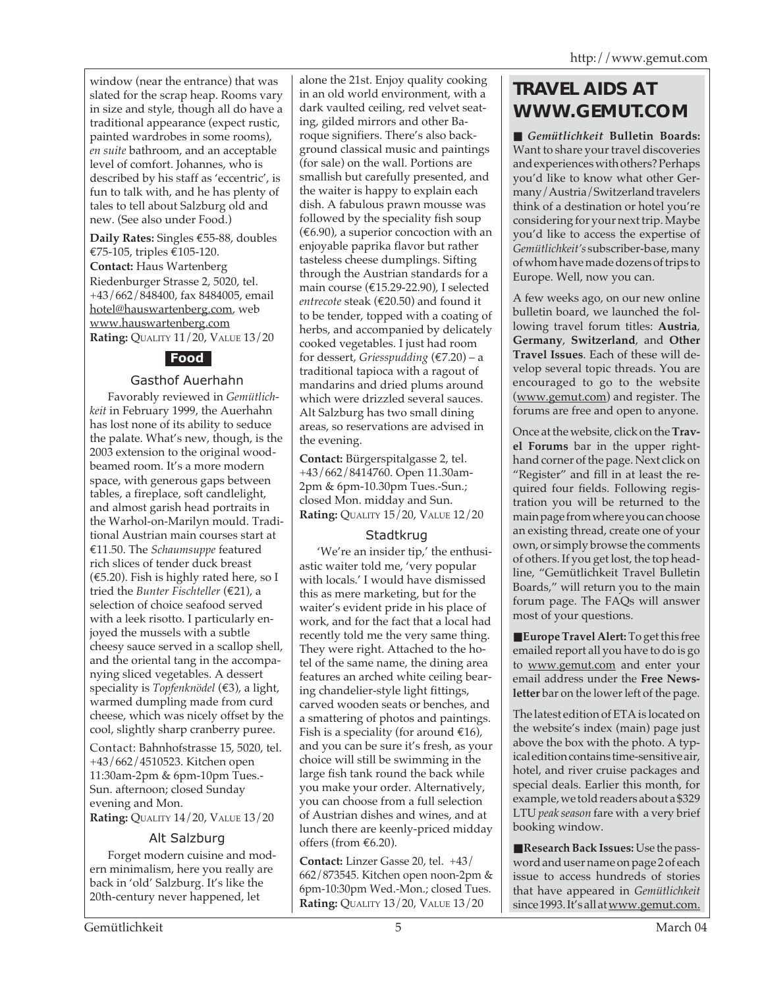window (near the entrance) that was slated for the scrap heap. Rooms vary in size and style, though all do have a traditional appearance (expect rustic, painted wardrobes in some rooms), *en suite* bathroom, and an acceptable level of comfort. Johannes, who is described by his staff as 'eccentric', is fun to talk with, and he has plenty of tales to tell about Salzburg old and new. (See also under Food.)

**Daily Rates:** Singles €55-88, doubles €75-105, triples €105-120. **Contact:** Haus Wartenberg Riedenburger Strasse 2, 5020, tel. +43/662/848400, fax 8484005, email hotel@hauswartenberg.com, web www.hauswartenberg.com **Rating:** QUALITY 11/20, VALUE 13/20

### **Food**

#### Gasthof Auerhahn

Favorably reviewed in *Gemütlichkeit* in February 1999, the Auerhahn has lost none of its ability to seduce the palate. What's new, though, is the 2003 extension to the original woodbeamed room. It's a more modern space, with generous gaps between tables, a fireplace, soft candlelight, and almost garish head portraits in the Warhol-on-Marilyn mould. Traditional Austrian main courses start at €11.50. The *Schaumsuppe* featured rich slices of tender duck breast  $(\text{\textsterling}5.20)$ . Fish is highly rated here, so I tried the *Bunter Fischteller* (€21), a selection of choice seafood served with a leek risotto. I particularly enjoyed the mussels with a subtle cheesy sauce served in a scallop shell, and the oriental tang in the accompanying sliced vegetables. A dessert speciality is *Topfenknödel* (€3), a light, warmed dumpling made from curd cheese, which was nicely offset by the cool, slightly sharp cranberry puree.

Contact: Bahnhofstrasse 15, 5020, tel. +43/662/4510523. Kitchen open 11:30am-2pm & 6pm-10pm Tues.- Sun. afternoon; closed Sunday evening and Mon. **Rating:** QUALITY 14/20, VALUE 13/20

#### Alt Salzburg

Forget modern cuisine and modern minimalism, here you really are back in 'old' Salzburg. It's like the 20th-century never happened, let

alone the 21st. Enjoy quality cooking in an old world environment, with a dark vaulted ceiling, red velvet seating, gilded mirrors and other Baroque signifiers. There's also background classical music and paintings (for sale) on the wall. Portions are smallish but carefully presented, and the waiter is happy to explain each dish. A fabulous prawn mousse was followed by the speciality fish soup  $(\text{\textsterling}6.90)$ , a superior concoction with an enjoyable paprika flavor but rather tasteless cheese dumplings. Sifting through the Austrian standards for a main course (€15.29-22.90), I selected *entrecote* steak (€20.50) and found it to be tender, topped with a coating of herbs, and accompanied by delicately cooked vegetables. I just had room for dessert, *Griesspudding* (€7.20) – a traditional tapioca with a ragout of mandarins and dried plums around which were drizzled several sauces. Alt Salzburg has two small dining areas, so reservations are advised in the evening.

**Contact:** Bürgerspitalgasse 2, tel. +43/662/8414760. Open 11.30am-2pm & 6pm-10.30pm Tues.-Sun.; closed Mon. midday and Sun. **Rating:** QUALITY 15/20, VALUE 12/20

#### **Stadtkrug**

'We're an insider tip,' the enthusiastic waiter told me, 'very popular with locals.' I would have dismissed this as mere marketing, but for the waiter's evident pride in his place of work, and for the fact that a local had recently told me the very same thing. They were right. Attached to the hotel of the same name, the dining area features an arched white ceiling bearing chandelier-style light fittings, carved wooden seats or benches, and a smattering of photos and paintings. Fish is a speciality (for around  $€16$ ), and you can be sure it's fresh, as your choice will still be swimming in the large fish tank round the back while you make your order. Alternatively, you can choose from a full selection of Austrian dishes and wines, and at lunch there are keenly-priced midday offers (from €6.20).

**Contact:** Linzer Gasse 20, tel. +43/ 662/873545. Kitchen open noon-2pm & 6pm-10:30pm Wed.-Mon.; closed Tues. **Rating:** QUALITY 13/20, VALUE 13/20

## **TRAVEL AIDS AT WWW.GEMUT.COM**

■ *Gemütlichkeit* **Bulletin Boards:** Want to share your travel discoveries and experiences with others? Perhaps you'd like to know what other Germany/Austria/Switzerland travelers think of a destination or hotel you're considering for your next trip. Maybe you'd like to access the expertise of *Gemütlichkeit's* subscriber-base, many of whom have made dozens of trips to Europe. Well, now you can.

A few weeks ago, on our new online bulletin board, we launched the following travel forum titles: **Austria**, **Germany**, **Switzerland**, and **Other Travel Issues**. Each of these will develop several topic threads. You are encouraged to go to the website (www.gemut.com) and register. The forums are free and open to anyone.

Once at the website, click on the **Travel Forums** bar in the upper righthand corner of the page. Next click on "Register" and fill in at least the required four fields. Following registration you will be returned to the main page from where you can choose an existing thread, create one of your own, or simply browse the comments of others. If you get lost, the top headline, "Gemütlichkeit Travel Bulletin Boards," will return you to the main forum page. The FAQs will answer most of your questions.

■ **Europe Travel Alert:** To get this free emailed report all you have to do is go to www.gemut.com and enter your email address under the **Free Newsletter** bar on the lower left of the page.

The latest edition of ETA is located on the website's index (main) page just above the box with the photo. A typical edition contains time-sensitive air, hotel, and river cruise packages and special deals. Earlier this month, for example, we told readers about a \$329 LTU *peak season* fare with a very brief booking window.

■ **Research Back Issues:** Use the password and user name on page 2 of each issue to access hundreds of stories that have appeared in *Gemütlichkeit* since 1993. It's all at www.gemut.com.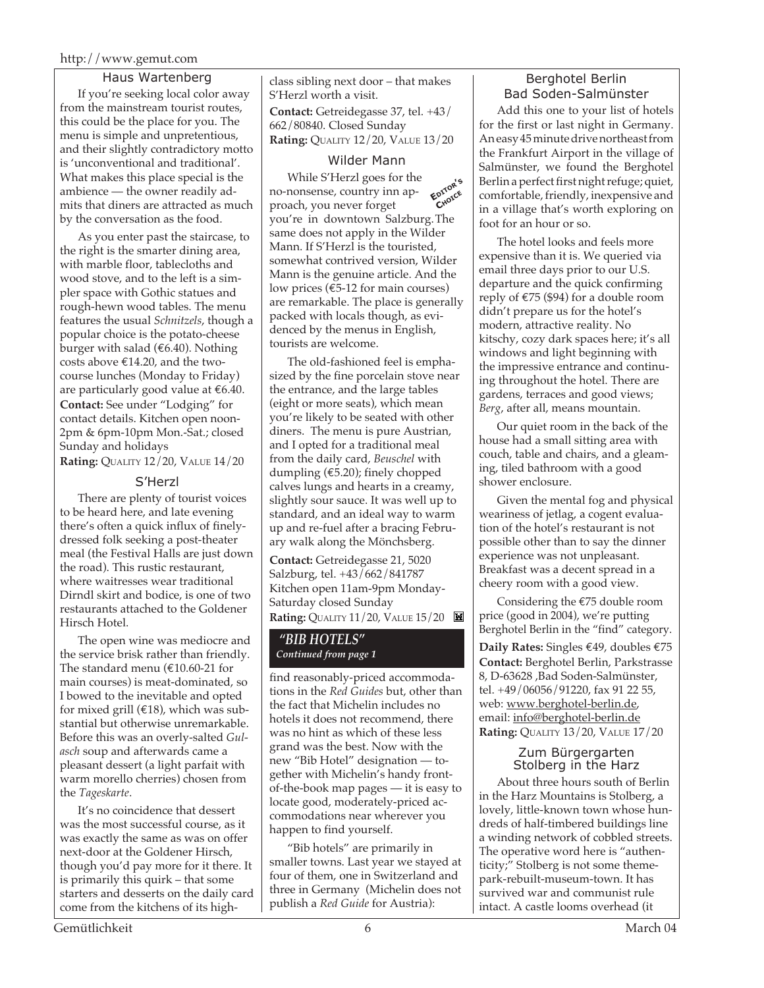#### http://www.gemut.com

#### Haus Wartenberg

If you're seeking local color away from the mainstream tourist routes, this could be the place for you. The menu is simple and unpretentious, and their slightly contradictory motto is 'unconventional and traditional'. What makes this place special is the ambience — the owner readily admits that diners are attracted as much by the conversation as the food.

As you enter past the staircase, to the right is the smarter dining area, with marble floor, tablecloths and wood stove, and to the left is a simpler space with Gothic statues and rough-hewn wood tables. The menu features the usual *Schnitzels*, though a popular choice is the potato-cheese burger with salad ( $€6.40$ ). Nothing costs above €14.20, and the twocourse lunches (Monday to Friday) are particularly good value at €6.40. **Contact:** See under "Lodging" for contact details. Kitchen open noon-2pm & 6pm-10pm Mon.-Sat.; closed Sunday and holidays **Rating:** QUALITY 12/20, VALUE 14/20

S'Herzl

There are plenty of tourist voices to be heard here, and late evening there's often a quick influx of finelydressed folk seeking a post-theater meal (the Festival Halls are just down the road). This rustic restaurant, where waitresses wear traditional Dirndl skirt and bodice, is one of two restaurants attached to the Goldener Hirsch Hotel.

The open wine was mediocre and the service brisk rather than friendly. The standard menu ( $€10.60-21$  for main courses) is meat-dominated, so I bowed to the inevitable and opted for mixed grill ( $€18$ ), which was substantial but otherwise unremarkable. Before this was an overly-salted *Gulasch* soup and afterwards came a pleasant dessert (a light parfait with warm morello cherries) chosen from the *Tageskarte*.

It's no coincidence that dessert was the most successful course, as it was exactly the same as was on offer next-door at the Goldener Hirsch, though you'd pay more for it there. It is primarily this quirk – that some starters and desserts on the daily card come from the kitchens of its highclass sibling next door – that makes S'Herzl worth a visit. **Contact:** Getreidegasse 37, tel. +43/ 662/80840. Closed Sunday **Rating:** QUALITY 12/20, VALUE 13/20

#### Wilder Mann

**EDITOR'<sup>S</sup> CHOICE** While S'Herzl goes for the no-nonsense, country inn approach, you never forget you're in downtown Salzburg.The same does not apply in the Wilder Mann. If S'Herzl is the touristed, somewhat contrived version, Wilder Mann is the genuine article. And the low prices ( $\epsilon$ 5-12 for main courses) are remarkable. The place is generally packed with locals though, as evidenced by the menus in English, tourists are welcome.

The old-fashioned feel is emphasized by the fine porcelain stove near the entrance, and the large tables (eight or more seats), which mean you're likely to be seated with other diners. The menu is pure Austrian, and I opted for a traditional meal from the daily card, *Beuschel* with dumpling (€5.20); finely chopped calves lungs and hearts in a creamy, slightly sour sauce. It was well up to standard, and an ideal way to warm up and re-fuel after a bracing February walk along the Mönchsberg.

**Contact:** Getreidegasse 21, 5020 Salzburg, tel. +43/662/841787 Kitchen open 11am-9pm Monday-Saturday closed Sunday **Rating:** QUALITY 11/20, VALUE 15/20

#### *"BIB HOTELS" Continued from page 1*

find reasonably-priced accommodations in the *Red Guides* but, other than the fact that Michelin includes no hotels it does not recommend, there was no hint as which of these less grand was the best. Now with the new "Bib Hotel" designation — together with Michelin's handy frontof-the-book map pages — it is easy to locate good, moderately-priced accommodations near wherever you happen to find yourself.

"Bib hotels" are primarily in smaller towns. Last year we stayed at four of them, one in Switzerland and three in Germany (Michelin does not publish a *Red Guide* for Austria):

#### Berghotel Berlin Bad Soden-Salmünster

Add this one to your list of hotels for the first or last night in Germany. An easy 45 minute drive northeast from the Frankfurt Airport in the village of Salmünster, we found the Berghotel Berlin a perfect first night refuge; quiet, comfortable, friendly, inexpensive and in a village that's worth exploring on foot for an hour or so.

The hotel looks and feels more expensive than it is. We queried via email three days prior to our U.S. departure and the quick confirming reply of  $\text{\textsterling}75$  (\$94) for a double room didn't prepare us for the hotel's modern, attractive reality. No kitschy, cozy dark spaces here; it's all windows and light beginning with the impressive entrance and continuing throughout the hotel. There are gardens, terraces and good views; *Berg*, after all, means mountain.

Our quiet room in the back of the house had a small sitting area with couch, table and chairs, and a gleaming, tiled bathroom with a good shower enclosure.

Given the mental fog and physical weariness of jetlag, a cogent evaluation of the hotel's restaurant is not possible other than to say the dinner experience was not unpleasant. Breakfast was a decent spread in a cheery room with a good view.

Considering the €75 double room price (good in 2004), we're putting Berghotel Berlin in the "find" category.

**Daily Rates:** Singles €49, doubles €75 **Contact:** Berghotel Berlin, Parkstrasse 8, D-63628 ,Bad Soden-Salmünster, tel. +49/06056/91220, fax 91 22 55, web: www.berghotel-berlin.de, email: info@berghotel-berlin.de **Rating:** QUALITY 13/20, VALUE 17/20

#### Zum Bürgergarten Stolberg in the Harz

About three hours south of Berlin in the Harz Mountains is Stolberg, a lovely, little-known town whose hundreds of half-timbered buildings line a winding network of cobbled streets. The operative word here is "authenticity;" Stolberg is not some themepark-rebuilt-museum-town. It has survived war and communist rule intact. A castle looms overhead (it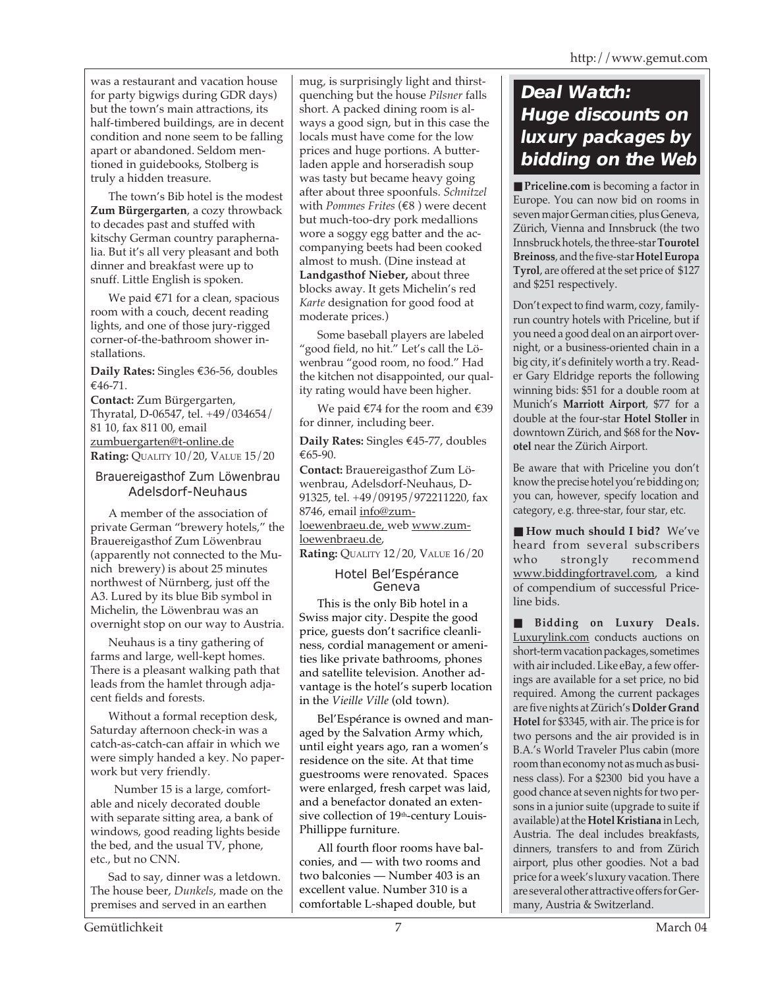was a restaurant and vacation house for party bigwigs during GDR days) but the town's main attractions, its half-timbered buildings, are in decent condition and none seem to be falling apart or abandoned. Seldom mentioned in guidebooks, Stolberg is truly a hidden treasure.

The town's Bib hotel is the modest **Zum Bürgergarten**, a cozy throwback to decades past and stuffed with kitschy German country paraphernalia. But it's all very pleasant and both dinner and breakfast were up to snuff. Little English is spoken.

We paid €71 for a clean, spacious room with a couch, decent reading lights, and one of those jury-rigged corner-of-the-bathroom shower installations.

**Daily Rates:** Singles €36-56, doubles €46-71.

**Contact:** Zum Bürgergarten, Thyratal, D-06547, tel. +49/034654/ 81 10, fax 811 00, email zumbuergarten@t-online.de **Rating:** QUALITY 10/20, VALUE 15/20

#### Brauereigasthof Zum Löwenbrau Adelsdorf-Neuhaus

A member of the association of private German "brewery hotels," the Brauereigasthof Zum Löwenbrau (apparently not connected to the Munich brewery) is about 25 minutes northwest of Nürnberg, just off the A3. Lured by its blue Bib symbol in Michelin, the Löwenbrau was an overnight stop on our way to Austria.

Neuhaus is a tiny gathering of farms and large, well-kept homes. There is a pleasant walking path that leads from the hamlet through adjacent fields and forests.

Without a formal reception desk, Saturday afternoon check-in was a catch-as-catch-can affair in which we were simply handed a key. No paperwork but very friendly.

 Number 15 is a large, comfortable and nicely decorated double with separate sitting area, a bank of windows, good reading lights beside the bed, and the usual TV, phone, etc., but no CNN.

Sad to say, dinner was a letdown. The house beer, *Dunkels*, made on the premises and served in an earthen

mug, is surprisingly light and thirstquenching but the house *Pilsner* falls short. A packed dining room is always a good sign, but in this case the locals must have come for the low prices and huge portions. A butterladen apple and horseradish soup was tasty but became heavy going after about three spoonfuls. *Schnitzel* with *Pommes Frites* (€8 ) were decent but much-too-dry pork medallions wore a soggy egg batter and the accompanying beets had been cooked almost to mush. (Dine instead at **Landgasthof Nieber,** about three blocks away. It gets Michelin's red *Karte* designation for good food at moderate prices.)

Some baseball players are labeled "good field, no hit." Let's call the Löwenbrau "good room, no food." Had the kitchen not disappointed, our quality rating would have been higher.

We paid €74 for the room and €39 for dinner, including beer.

**Daily Rates:** Singles €45-77, doubles €65-90.

**Contact:** Brauereigasthof Zum Löwenbrau, Adelsdorf-Neuhaus, D-91325, tel. +49/09195/972211220, fax 8746, email info@zumloewenbraeu.de, web www.zumloewenbraeu.de, **Rating:** QUALITY 12/20, VALUE 16/20

#### Hotel Bel'Espérance Geneva

This is the only Bib hotel in a Swiss major city. Despite the good price, guests don't sacrifice cleanliness, cordial management or amenities like private bathrooms, phones and satellite television. Another advantage is the hotel's superb location in the *Vieille Ville* (old town).

Bel'Espérance is owned and managed by the Salvation Army which, until eight years ago, ran a women's residence on the site. At that time guestrooms were renovated. Spaces were enlarged, fresh carpet was laid, and a benefactor donated an extensive collection of 19<sup>th</sup>-century Louis-Phillippe furniture.

All fourth floor rooms have balconies, and — with two rooms and two balconies — Number 403 is an excellent value. Number 310 is a comfortable L-shaped double, but

## **Deal Watch: Huge discounts on luxury packages by bidding on the Web**

■ **Priceline.com** is becoming a factor in Europe. You can now bid on rooms in seven major German cities, plus Geneva, Zürich, Vienna and Innsbruck (the two Innsbruck hotels, the three-star **Tourotel Breinoss**, and the five-star **Hotel Europa Tyrol**, are offered at the set price of \$127 and \$251 respectively.

Don't expect to find warm, cozy, familyrun country hotels with Priceline, but if you need a good deal on an airport overnight, or a business-oriented chain in a big city, it's definitely worth a try. Reader Gary Eldridge reports the following winning bids: \$51 for a double room at Munich's **Marriott Airport**, \$77 for a double at the four-star **Hotel Stoller** in downtown Zürich, and \$68 for the **Novotel** near the Zürich Airport.

Be aware that with Priceline you don't know the precise hotel you're bidding on; you can, however, specify location and category, e.g. three-star, four star, etc.

■ **How much should I bid?** We've heard from several subscribers who strongly recommend www.biddingfortravel.com, a kind of compendium of successful Priceline bids.

■ **Bidding on Luxury Deals.** Luxurylink.com conducts auctions on short-term vacation packages, sometimes with air included. Like eBay, a few offerings are available for a set price, no bid required. Among the current packages are five nights at Zürich's **Dolder Grand Hotel** for \$3345, with air. The price is for two persons and the air provided is in B.A.'s World Traveler Plus cabin (more room than economy not as much as business class). For a \$2300 bid you have a good chance at seven nights for two persons in a junior suite (upgrade to suite if available) at the **Hotel Kristiana** in Lech, Austria. The deal includes breakfasts, dinners, transfers to and from Zürich airport, plus other goodies. Not a bad price for a week's luxury vacation. There are several other attractive offers for Germany, Austria & Switzerland.